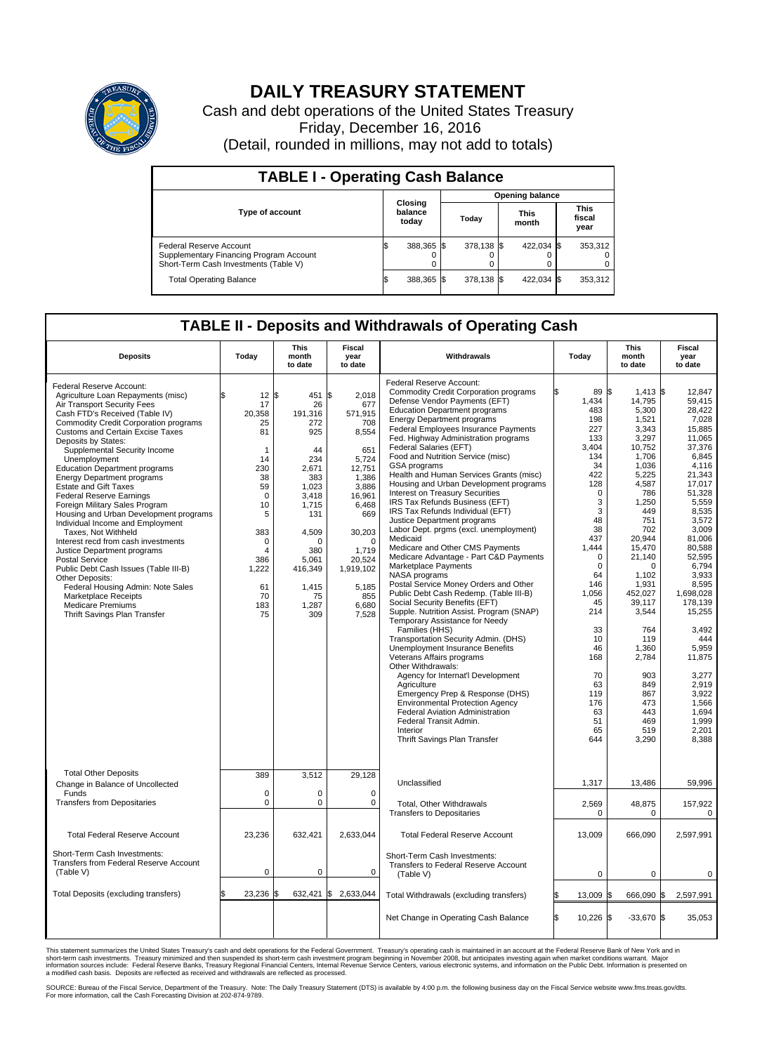

## **DAILY TREASURY STATEMENT**

Cash and debt operations of the United States Treasury Friday, December 16, 2016 (Detail, rounded in millions, may not add to totals)

| <b>TABLE I - Operating Cash Balance</b>                                                                     |                             |            |                        |            |                      |            |                               |         |  |  |
|-------------------------------------------------------------------------------------------------------------|-----------------------------|------------|------------------------|------------|----------------------|------------|-------------------------------|---------|--|--|
|                                                                                                             | Closing<br>balance<br>today |            | <b>Opening balance</b> |            |                      |            |                               |         |  |  |
| Type of account                                                                                             |                             |            | Today                  |            | <b>This</b><br>month |            | <b>This</b><br>fiscal<br>year |         |  |  |
| Federal Reserve Account<br>Supplementary Financing Program Account<br>Short-Term Cash Investments (Table V) |                             | 388,365 \$ |                        | 378,138 \$ |                      | 422,034 \$ |                               | 353,312 |  |  |
| <b>Total Operating Balance</b>                                                                              | I\$                         | 388,365 \$ |                        | 378,138 \$ |                      | 422,034 \$ |                               | 353,312 |  |  |

## **TABLE II - Deposits and Withdrawals of Operating Cash**

| <b>Deposits</b>                                                                                                                                                                                                                                                                                                                                                                                                                                                                                                                                                                                                                                                                                                                                                                                                                                                              | Today                                                                                                                                                            | This<br>month<br>to date                                                                                                                                                                   | Fiscal<br>year<br>to date                                                                                                                                                                             | Withdrawals                                                                                                                                                                                                                                                                                                                                                                                                                                                                                                                                                                                                                                                                                                                                                                                                                                                                                                                                                                                                                                                                                                                                                                                                                                                                                                                                                               | Today                                                                                                                                                                                                                                                                  | <b>This</b><br>month<br>to date                                                                                                                                                                                                                                                                                                 | Fiscal<br>year<br>to date                                                                                                                                                                                                                                                                                                                                   |
|------------------------------------------------------------------------------------------------------------------------------------------------------------------------------------------------------------------------------------------------------------------------------------------------------------------------------------------------------------------------------------------------------------------------------------------------------------------------------------------------------------------------------------------------------------------------------------------------------------------------------------------------------------------------------------------------------------------------------------------------------------------------------------------------------------------------------------------------------------------------------|------------------------------------------------------------------------------------------------------------------------------------------------------------------|--------------------------------------------------------------------------------------------------------------------------------------------------------------------------------------------|-------------------------------------------------------------------------------------------------------------------------------------------------------------------------------------------------------|---------------------------------------------------------------------------------------------------------------------------------------------------------------------------------------------------------------------------------------------------------------------------------------------------------------------------------------------------------------------------------------------------------------------------------------------------------------------------------------------------------------------------------------------------------------------------------------------------------------------------------------------------------------------------------------------------------------------------------------------------------------------------------------------------------------------------------------------------------------------------------------------------------------------------------------------------------------------------------------------------------------------------------------------------------------------------------------------------------------------------------------------------------------------------------------------------------------------------------------------------------------------------------------------------------------------------------------------------------------------------|------------------------------------------------------------------------------------------------------------------------------------------------------------------------------------------------------------------------------------------------------------------------|---------------------------------------------------------------------------------------------------------------------------------------------------------------------------------------------------------------------------------------------------------------------------------------------------------------------------------|-------------------------------------------------------------------------------------------------------------------------------------------------------------------------------------------------------------------------------------------------------------------------------------------------------------------------------------------------------------|
| Federal Reserve Account:<br>Agriculture Loan Repayments (misc)<br>Air Transport Security Fees<br>Cash FTD's Received (Table IV)<br>Commodity Credit Corporation programs<br><b>Customs and Certain Excise Taxes</b><br>Deposits by States:<br>Supplemental Security Income<br>Unemployment<br><b>Education Department programs</b><br><b>Energy Department programs</b><br><b>Estate and Gift Taxes</b><br><b>Federal Reserve Earnings</b><br>Foreign Military Sales Program<br>Housing and Urban Development programs<br>Individual Income and Employment<br>Taxes, Not Withheld<br>Interest recd from cash investments<br>Justice Department programs<br><b>Postal Service</b><br>Public Debt Cash Issues (Table III-B)<br>Other Deposits:<br>Federal Housing Admin: Note Sales<br><b>Marketplace Receipts</b><br><b>Medicare Premiums</b><br>Thrift Savings Plan Transfer | \$<br>12<br>17<br>20,358<br>25<br>81<br>1<br>14<br>230<br>38<br>59<br>$\mathbf 0$<br>10<br>5<br>383<br>$\mathbf 0$<br>4<br>386<br>1,222<br>61<br>70<br>183<br>75 | l\$<br>451 \$<br>26<br>191,316<br>272<br>925<br>44<br>234<br>2,671<br>383<br>1,023<br>3,418<br>1,715<br>131<br>4,509<br>$\Omega$<br>380<br>5,061<br>416,349<br>1,415<br>75<br>1,287<br>309 | 2,018<br>677<br>571,915<br>708<br>8,554<br>651<br>5,724<br>12,751<br>1,386<br>3,886<br>16,961<br>6,468<br>669<br>30,203<br>$\Omega$<br>1.719<br>20,524<br>1,919,102<br>5,185<br>855<br>6,680<br>7,528 | Federal Reserve Account:<br><b>Commodity Credit Corporation programs</b><br>Defense Vendor Payments (EFT)<br><b>Education Department programs</b><br><b>Energy Department programs</b><br><b>Federal Employees Insurance Payments</b><br>Fed. Highway Administration programs<br>Federal Salaries (EFT)<br>Food and Nutrition Service (misc)<br>GSA programs<br>Health and Human Services Grants (misc)<br>Housing and Urban Development programs<br>Interest on Treasury Securities<br>IRS Tax Refunds Business (EFT)<br>IRS Tax Refunds Individual (EFT)<br>Justice Department programs<br>Labor Dept. prgms (excl. unemployment)<br>Medicaid<br>Medicare and Other CMS Payments<br>Medicare Advantage - Part C&D Payments<br>Marketplace Payments<br>NASA programs<br>Postal Service Money Orders and Other<br>Public Debt Cash Redemp. (Table III-B)<br>Social Security Benefits (EFT)<br>Supple. Nutrition Assist. Program (SNAP)<br>Temporary Assistance for Needy<br>Families (HHS)<br>Transportation Security Admin. (DHS)<br>Unemployment Insurance Benefits<br>Veterans Affairs programs<br>Other Withdrawals:<br>Agency for Internat'l Development<br>Agriculture<br>Emergency Prep & Response (DHS)<br><b>Environmental Protection Agency</b><br><b>Federal Aviation Administration</b><br>Federal Transit Admin.<br>Interior<br>Thrift Savings Plan Transfer | 89 \$<br>1,434<br>483<br>198<br>227<br>133<br>3.404<br>134<br>34<br>422<br>128<br>0<br>3<br>3<br>48<br>38<br>437<br>1,444<br>$\mathbf 0$<br>$\mathbf 0$<br>64<br>146<br>1.056<br>45<br>214<br>33<br>10<br>46<br>168<br>70<br>63<br>119<br>176<br>63<br>51<br>65<br>644 | $1,413$ \$<br>14,795<br>5,300<br>1,521<br>3,343<br>3,297<br>10,752<br>1,706<br>1,036<br>5,225<br>4,587<br>786<br>1,250<br>449<br>751<br>702<br>20,944<br>15,470<br>21,140<br>$\Omega$<br>1,102<br>1,931<br>452.027<br>39,117<br>3,544<br>764<br>119<br>1,360<br>2,784<br>903<br>849<br>867<br>473<br>443<br>469<br>519<br>3,290 | 12,847<br>59,415<br>28.422<br>7,028<br>15,885<br>11,065<br>37.376<br>6,845<br>4,116<br>21,343<br>17.017<br>51,328<br>5,559<br>8.535<br>3,572<br>3.009<br>81,006<br>80,588<br>52.595<br>6,794<br>3,933<br>8,595<br>1.698.028<br>178.139<br>15,255<br>3,492<br>444<br>5,959<br>11,875<br>3.277<br>2,919<br>3,922<br>1.566<br>1,694<br>1,999<br>2,201<br>8,388 |
| <b>Total Other Deposits</b><br>Change in Balance of Uncollected<br>Funds                                                                                                                                                                                                                                                                                                                                                                                                                                                                                                                                                                                                                                                                                                                                                                                                     | 389<br>$\mathbf 0$                                                                                                                                               | 3,512<br>0<br>0                                                                                                                                                                            | 29,128<br>0<br>$\mathbf 0$                                                                                                                                                                            | Unclassified                                                                                                                                                                                                                                                                                                                                                                                                                                                                                                                                                                                                                                                                                                                                                                                                                                                                                                                                                                                                                                                                                                                                                                                                                                                                                                                                                              | 1,317                                                                                                                                                                                                                                                                  | 13,486                                                                                                                                                                                                                                                                                                                          | 59.996                                                                                                                                                                                                                                                                                                                                                      |
| <b>Transfers from Depositaries</b>                                                                                                                                                                                                                                                                                                                                                                                                                                                                                                                                                                                                                                                                                                                                                                                                                                           | $\pmb{0}$                                                                                                                                                        |                                                                                                                                                                                            |                                                                                                                                                                                                       | Total, Other Withdrawals<br><b>Transfers to Depositaries</b>                                                                                                                                                                                                                                                                                                                                                                                                                                                                                                                                                                                                                                                                                                                                                                                                                                                                                                                                                                                                                                                                                                                                                                                                                                                                                                              | 2,569<br>$\mathbf 0$                                                                                                                                                                                                                                                   | 48,875<br>0                                                                                                                                                                                                                                                                                                                     | 157,922<br>$\mathbf 0$                                                                                                                                                                                                                                                                                                                                      |
| <b>Total Federal Reserve Account</b>                                                                                                                                                                                                                                                                                                                                                                                                                                                                                                                                                                                                                                                                                                                                                                                                                                         | 23,236                                                                                                                                                           | 632,421                                                                                                                                                                                    | 2,633,044                                                                                                                                                                                             | <b>Total Federal Reserve Account</b>                                                                                                                                                                                                                                                                                                                                                                                                                                                                                                                                                                                                                                                                                                                                                                                                                                                                                                                                                                                                                                                                                                                                                                                                                                                                                                                                      | 13,009                                                                                                                                                                                                                                                                 | 666,090                                                                                                                                                                                                                                                                                                                         | 2,597,991                                                                                                                                                                                                                                                                                                                                                   |
| Short-Term Cash Investments:<br>Transfers from Federal Reserve Account<br>(Table V)                                                                                                                                                                                                                                                                                                                                                                                                                                                                                                                                                                                                                                                                                                                                                                                          | $\mathbf 0$                                                                                                                                                      | 0                                                                                                                                                                                          | $\Omega$                                                                                                                                                                                              | Short-Term Cash Investments:<br>Transfers to Federal Reserve Account<br>(Table V)                                                                                                                                                                                                                                                                                                                                                                                                                                                                                                                                                                                                                                                                                                                                                                                                                                                                                                                                                                                                                                                                                                                                                                                                                                                                                         | 0                                                                                                                                                                                                                                                                      | 0                                                                                                                                                                                                                                                                                                                               | 0                                                                                                                                                                                                                                                                                                                                                           |
| Total Deposits (excluding transfers)                                                                                                                                                                                                                                                                                                                                                                                                                                                                                                                                                                                                                                                                                                                                                                                                                                         | 23,236                                                                                                                                                           |                                                                                                                                                                                            | 632,421 \$ 2,633,044                                                                                                                                                                                  | Total Withdrawals (excluding transfers)                                                                                                                                                                                                                                                                                                                                                                                                                                                                                                                                                                                                                                                                                                                                                                                                                                                                                                                                                                                                                                                                                                                                                                                                                                                                                                                                   | 13,009                                                                                                                                                                                                                                                                 | 666,090 \$                                                                                                                                                                                                                                                                                                                      | 2,597,991                                                                                                                                                                                                                                                                                                                                                   |
|                                                                                                                                                                                                                                                                                                                                                                                                                                                                                                                                                                                                                                                                                                                                                                                                                                                                              |                                                                                                                                                                  |                                                                                                                                                                                            |                                                                                                                                                                                                       | Net Change in Operating Cash Balance                                                                                                                                                                                                                                                                                                                                                                                                                                                                                                                                                                                                                                                                                                                                                                                                                                                                                                                                                                                                                                                                                                                                                                                                                                                                                                                                      | Ŝ.<br>$10,226$ \$                                                                                                                                                                                                                                                      | $-33,670$ \$                                                                                                                                                                                                                                                                                                                    | 35,053                                                                                                                                                                                                                                                                                                                                                      |

This statement summarizes the United States Treasury's cash and debt operations for the Federal Government. Treasury's operating cash is maintained in an account at the Federal Reserve Bank of New York and in<br>short-term ca

SOURCE: Bureau of the Fiscal Service, Department of the Treasury. Note: The Daily Treasury Statement (DTS) is available by 4:00 p.m. the following business day on the Fiscal Service website www.fms.treas.gov/dts.<br>For more